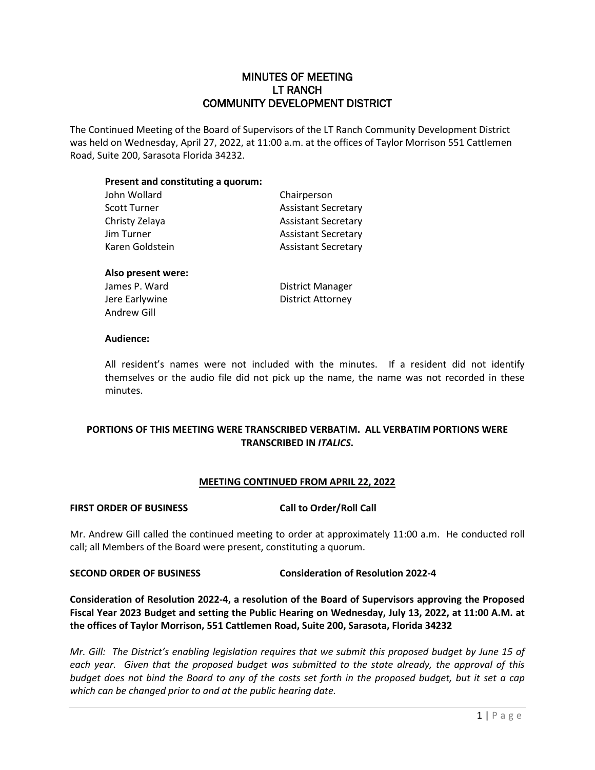## MINUTES OF MEETING LT RANCH COMMUNITY DEVELOPMENT DISTRICT

The Continued Meeting of the Board of Supervisors of the LT Ranch Community Development District was held on Wednesday, April 27, 2022, at 11:00 a.m. at the offices of Taylor Morrison 551 Cattlemen Road, Suite 200, Sarasota Florida 34232.

### **Present and constituting a quorum:**

| John Wollard    | Chairperson                |
|-----------------|----------------------------|
| Scott Turner    | <b>Assistant Secretary</b> |
| Christy Zelaya  | <b>Assistant Secretary</b> |
| Jim Turner      | <b>Assistant Secretary</b> |
| Karen Goldstein | <b>Assistant Secretary</b> |
|                 |                            |

#### **Also present were:**

Andrew Gill

James P. Ward **District Manager** Jere Earlywine **District Attorney** 

#### **Audience:**

All resident's names were not included with the minutes. If a resident did not identify themselves or the audio file did not pick up the name, the name was not recorded in these minutes.

## **PORTIONS OF THIS MEETING WERE TRANSCRIBED VERBATIM. ALL VERBATIM PORTIONS WERE TRANSCRIBED IN** *ITALICS***.**

### **MEETING CONTINUED FROM APRIL 22, 2022**

#### FIRST ORDER OF BUSINESS Call to Order/Roll Call

Mr. Andrew Gill called the continued meeting to order at approximately 11:00 a.m. He conducted roll call; all Members of the Board were present, constituting a quorum.

#### **SECOND ORDER OF BUSINESS Consideration of Resolution 2022-4**

**Consideration of Resolution 2022-4, a resolution of the Board of Supervisors approving the Proposed Fiscal Year 2023 Budget and setting the Public Hearing on Wednesday, July 13, 2022, at 11:00 A.M. at the offices of Taylor Morrison, 551 Cattlemen Road, Suite 200, Sarasota, Florida 34232**

*Mr. Gill: The District's enabling legislation requires that we submit this proposed budget by June 15 of each year. Given that the proposed budget was submitted to the state already, the approval of this budget does not bind the Board to any of the costs set forth in the proposed budget, but it set a cap which can be changed prior to and at the public hearing date.*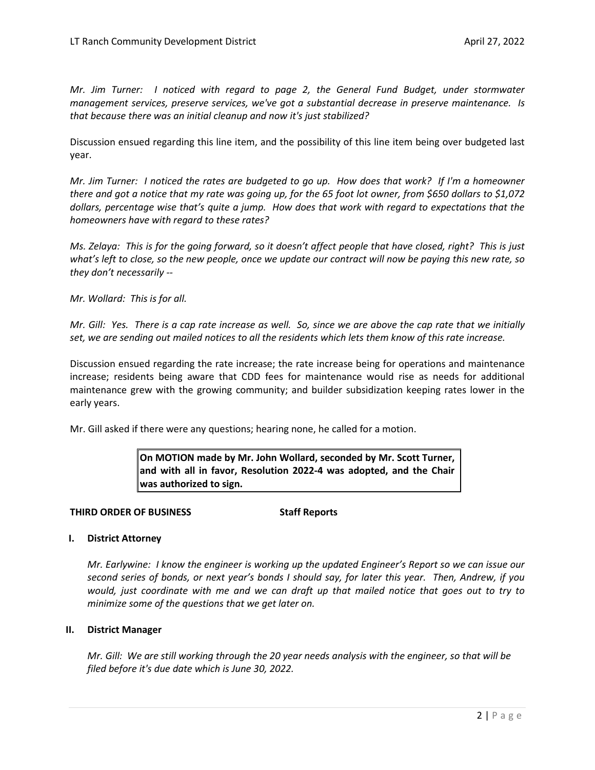*Mr. Jim Turner: I noticed with regard to page 2, the General Fund Budget, under stormwater management services, preserve services, we've got a substantial decrease in preserve maintenance. Is that because there was an initial cleanup and now it's just stabilized?* 

Discussion ensued regarding this line item, and the possibility of this line item being over budgeted last year.

*Mr. Jim Turner: I noticed the rates are budgeted to go up. How does that work? If I'm a homeowner there and got a notice that my rate was going up, for the 65 foot lot owner, from \$650 dollars to \$1,072 dollars, percentage wise that's quite a jump. How does that work with regard to expectations that the homeowners have with regard to these rates?*

*Ms. Zelaya: This is for the going forward, so it doesn't affect people that have closed, right? This is just what's left to close, so the new people, once we update our contract will now be paying this new rate, so they don't necessarily --* 

*Mr. Wollard: This is for all.* 

*Mr. Gill: Yes. There is a cap rate increase as well. So, since we are above the cap rate that we initially set, we are sending out mailed notices to all the residents which lets them know of this rate increase.* 

Discussion ensued regarding the rate increase; the rate increase being for operations and maintenance increase; residents being aware that CDD fees for maintenance would rise as needs for additional maintenance grew with the growing community; and builder subsidization keeping rates lower in the early years.

Mr. Gill asked if there were any questions; hearing none, he called for a motion.

**On MOTION made by Mr. John Wollard, seconded by Mr. Scott Turner, and with all in favor, Resolution 2022-4 was adopted, and the Chair was authorized to sign.** 

#### **THIRD ORDER OF BUSINESS Staff Reports**

#### **I. District Attorney**

*Mr. Earlywine: I know the engineer is working up the updated Engineer's Report so we can issue our second series of bonds, or next year's bonds I should say, for later this year. Then, Andrew, if you would, just coordinate with me and we can draft up that mailed notice that goes out to try to minimize some of the questions that we get later on.* 

#### **II. District Manager**

*Mr. Gill: We are still working through the 20 year needs analysis with the engineer, so that will be filed before it's due date which is June 30, 2022.*